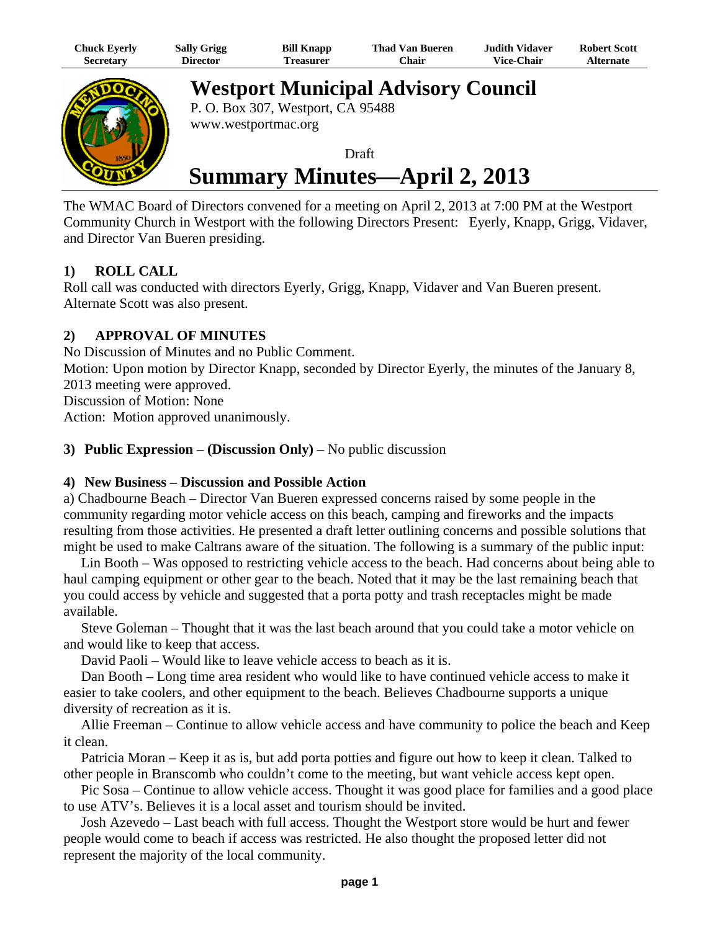| Chuck Eyerly     | <b>Sally Grigg</b> | <b>Bill Knapp</b> | Thad Van Bueren | Judith Vidaver.   | <b>Robert Scott</b> |
|------------------|--------------------|-------------------|-----------------|-------------------|---------------------|
| <b>Secretary</b> | <b>Director</b>    | l`reasurer        | Chair           | <b>Vice-Chair</b> | Alternate           |



**Westport Municipal Advisory Council**

P. O. Box 307, Westport, CA 95488 www.westportmac.org

Draft

# **Summary Minutes—April 2, 2013**

The WMAC Board of Directors convened for a meeting on April 2, 2013 at 7:00 PM at the Westport Community Church in Westport with the following Directors Present: Eyerly, Knapp, Grigg, Vidaver, and Director Van Bueren presiding.

## **1) ROLL CALL**

Roll call was conducted with directors Eyerly, Grigg, Knapp, Vidaver and Van Bueren present. Alternate Scott was also present.

## **2) APPROVAL OF MINUTES**

No Discussion of Minutes and no Public Comment. Motion: Upon motion by Director Knapp, seconded by Director Eyerly, the minutes of the January 8, 2013 meeting were approved.

Discussion of Motion: None

Action: Motion approved unanimously.

### **3) Public Expression** – **(Discussion Only)** – No public discussion

### **4) New Business – Discussion and Possible Action**

a) Chadbourne Beach – Director Van Bueren expressed concerns raised by some people in the community regarding motor vehicle access on this beach, camping and fireworks and the impacts resulting from those activities. He presented a draft letter outlining concerns and possible solutions that might be used to make Caltrans aware of the situation. The following is a summary of the public input:

 Lin Booth – Was opposed to restricting vehicle access to the beach. Had concerns about being able to haul camping equipment or other gear to the beach. Noted that it may be the last remaining beach that you could access by vehicle and suggested that a porta potty and trash receptacles might be made available.

 Steve Goleman – Thought that it was the last beach around that you could take a motor vehicle on and would like to keep that access.

David Paoli – Would like to leave vehicle access to beach as it is.

 Dan Booth – Long time area resident who would like to have continued vehicle access to make it easier to take coolers, and other equipment to the beach. Believes Chadbourne supports a unique diversity of recreation as it is.

 Allie Freeman – Continue to allow vehicle access and have community to police the beach and Keep it clean.

 Patricia Moran – Keep it as is, but add porta potties and figure out how to keep it clean. Talked to other people in Branscomb who couldn't come to the meeting, but want vehicle access kept open.

 Pic Sosa – Continue to allow vehicle access. Thought it was good place for families and a good place to use ATV's. Believes it is a local asset and tourism should be invited.

 Josh Azevedo – Last beach with full access. Thought the Westport store would be hurt and fewer people would come to beach if access was restricted. He also thought the proposed letter did not represent the majority of the local community.